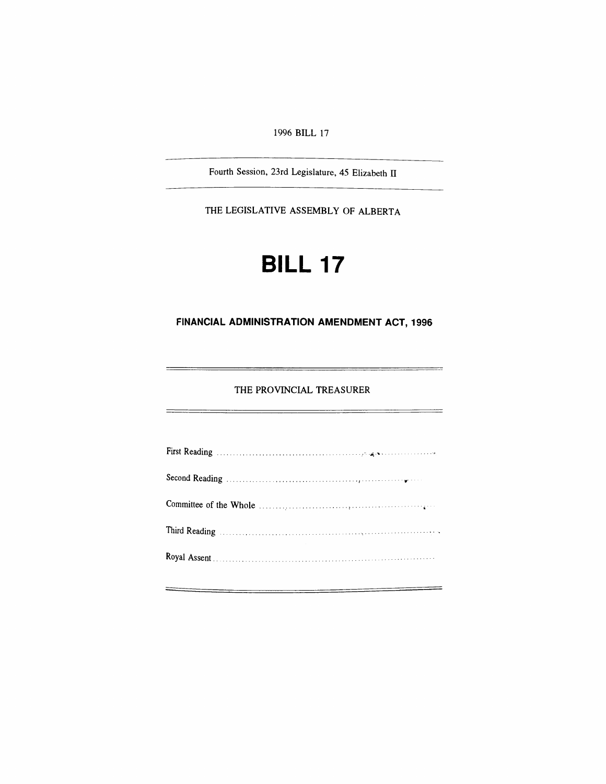*1996 BILL 17*

*Fourth Session, 23rd Legislature, 45 Elizabeth II*

*THE LEGISLATIVE ASSEMBLY OF ALBERTA*

# *BILL 17*

## *FINANCIAL ADMINISTRATION AMENDMENT ACT, 1996*

*THE PROVINCIAL TREASURER*

| Committee of the Whole $\ldots$ , $\ldots$ , $\ldots$ , $\ldots$ , $\ldots$ , $\ldots$ |
|----------------------------------------------------------------------------------------|
|                                                                                        |
|                                                                                        |
|                                                                                        |

 $\equiv$ 

=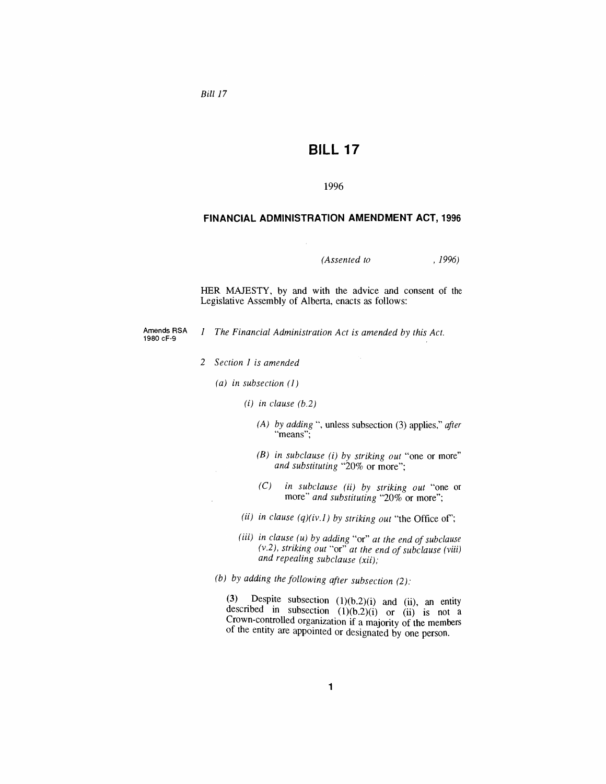*Bill 17*

## *BILL 17*

*1996*

#### *FINANCIAL ADMINISTRATION AMENDMENT ACT, 1996*

*(Assented to , 1996)*

*HER MAJESTY, by and with the advice and consent of the Legislative Assembly of Alberta, enacts as follows:*

*Amends RSA 1980 cF-9*

*<sup>1</sup> The Financial Administration Act is amended by this Act.*

- *2 Section <sup>1</sup> is amended*
	- *(a) in subsection (1)*
		- *(i) in clause (b.2)*
			- *(A) by adding* ", *unless* subsection (3) *applies," after "means";*
			- *(B) in subclause (i) by striking out "one or more" and substituting "20% or more";*
			- *(C) in subclause (ii) by striking out "one or more" and substituting "20% or more";*
		- *(ii) in clause (q)(iv.1) by striking out "the Office of";*
		- *(iii) in clause (u) by adding "or" at the end ofsubclause (v.2), striking out "or" at the end ofsubclause (viii) and repealing subclause (xii);*
	- *(b) by adding the following after subsection (2):*

*(3) Despite subsection (1)(b.2)(i) and (ii), an entity* described in subsection  $(1)(b.2)(i)$  *or*  $(ii)$  *is not a Crown-controlled organization if a majority of the members of the entity are appointed or designated by one person.*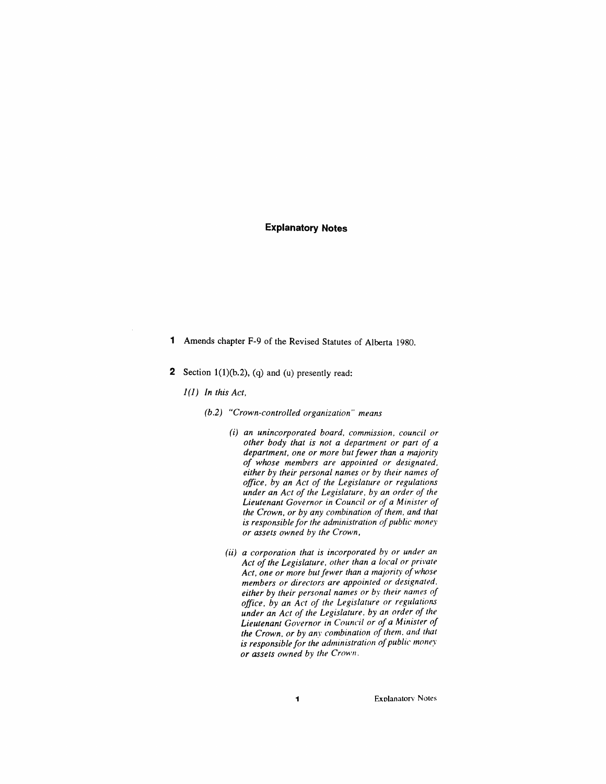- *<sup>1</sup> Amends chapter F-9 of the Revised Statutes of Alberta 1980.*
- *2 Section <sup>1</sup>(1)(b.2), (q) and (u) presently read:*
	- *1(1) In this Act,*
		- *(b.2) "Crown-controlled organization" means*
			- *(i) an unincorporated board, commission, council or other body that is not a department or part of a department, one or more butfewer than a majority of whose members are appointed or designated, either by their personal names or by their names of office, by an Act of the Legislature or regulations under an Act of the Legislature, by an order of the Lieutenant Governor in Council or of a Minister of the Crown, or by any combination of them, and that is responsiblefor the administration ofpublic money or assets owned by the Crown,*
			- *(ii) a corporation that is incorporated by or under an Act of the Legislature, other than a local or private Act, one or more butfewer than a majority ofwhose members or directors are appointed or designated, either by their personal names or by their names of office, by an Act of the Legislature or regulations under an Act of the Legislature, by an order of the Lieutenant Governor in Council or of a Minister of the Crown, or by any combination of them, and that is responsible for the administration ofpublic money or assets owned by the Crown.*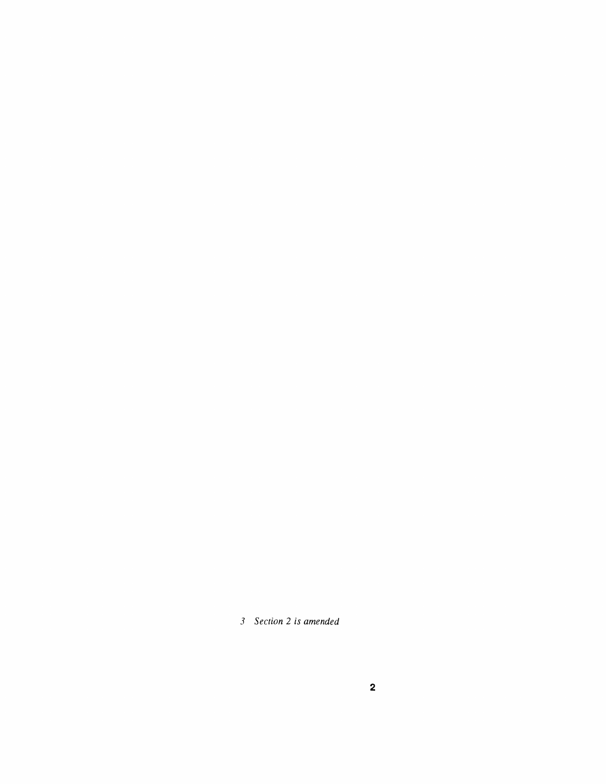*Section 2 is amended*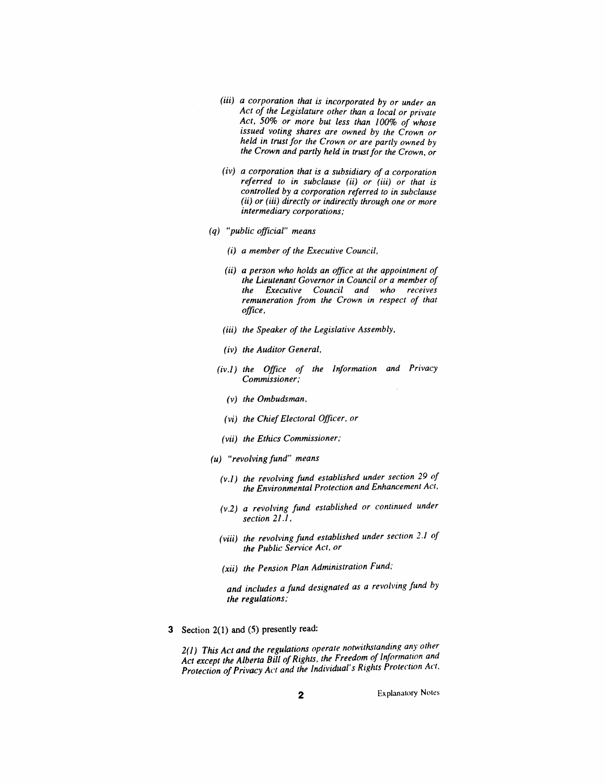- *(iii) a corporation that is incorporated by or under an Act of the Legislature other than a local or private Act, 50% or more but less than 100% of whose issued voting shares are owned by the Crown or held in trustfor the Crown or are partly owned by the Crown and partly held in trustfor the Crown, or*
- *(iv) a corporation that is a subsidiary of a corporation referred to in subclause (ii) or (iii) or that is controlled by a corporation referred to in subclause (ii) or (iii) directly or indirectly through one or more intermediary corporations;*
- *(q) "public official" means*
	- *(i) a member of the Executive Council,*
	- *(ii) a person who holds an office at the appointment of the Lieutenant Governor in Council or a member of the Executive Council and who receives remuneration from the Crown in respect of that office,*
	- *(iii) the Speaker of the Legislative Assembly,*
	- *(iv) the Auditor General,*
	- *(iv.1) the Office of the Information and Privacy Commissioner;*
		- *(v) the Ombudsman,*
		- *(vi) the ChiefElectoral Officer, or*
	- *(vii) the Ethics Commissioner;*
- *(u) "revolvingfund" means*
	- *(v.1) the revolving fund established under section 29 of the Environmental Protection and Enhancement Act,*
	- *(v.2) a revolving fund established or continued under section 21.1,*
	- *(viii) the revolving fund established under section 2.1 of the Public Service Act, or*
	- *(xii) the Pension Plan Administration Fund;*

*and includes a fund designated as a revolving fund by the regulations;*

*3 Section 2(1) and (5) presently read:*

*2(1) This Act and the regulations operate notwithstanding any other Act except the Alberta Bill ofRights, the Freedom of Information and Protection of Privacy Act and the Individual's Rights Protection Act,*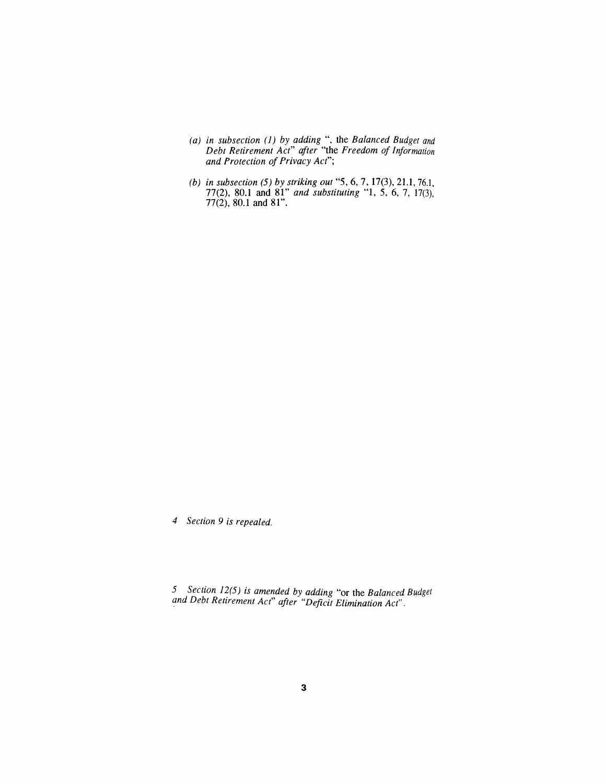- *(a) in subsection (1) by adding ", the Balanced Budget and Debt Retirement Act" after "the Freedom of Information and Protection ofPrivacy Act";*
- *(b) in subsection (5) by striking out "5, 6, 7, 17(3), 21.1, 76.1, 77(2), 80.1 and 81" and substituting "1, 5, 6, 7, 17(3), 77(2), 80.1 and 81".*

*4 Section 9 is repealed.*

*5 Section 12(5) is amended by adding "or the Balanced Budget and Debt Retirement Ac<sup>t</sup>" after "Deficit Elimination Act".*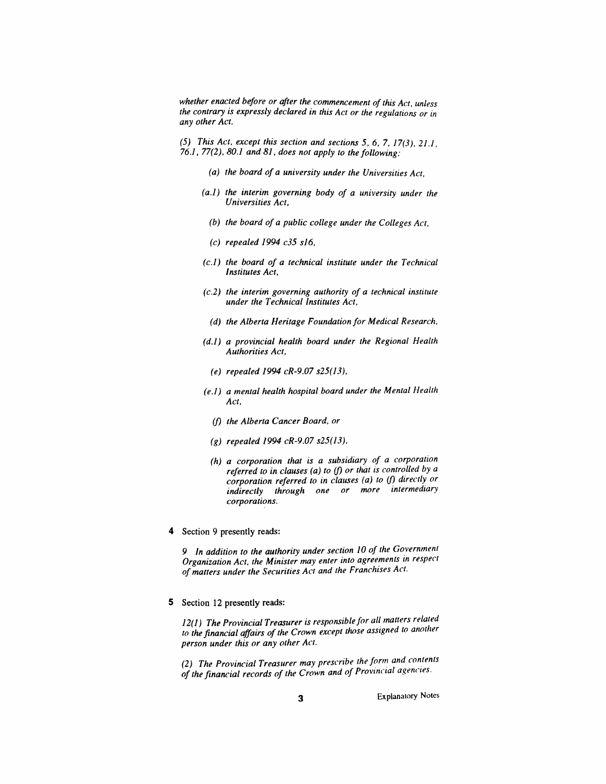*whether enacted before or after the commencement ofthis Act, unless the contrary is expressly declared in this Act or the regulations or in any other Act.*

*(5) This Act, except this section and sections 5, 6, 7, 17(3), 21.1, 76.1, 77(2), 80.1 and 81, does not apply to the following:*

- *(a) the board of a university under the Universities Act,*
- *(a.1) the interim governing body of a university under the Universities Act,*
	- *(b) the board of a public college under the Colleges Act,*
	- *(c) repealed 1994 c35 s16,*
- *(c.1) the board of a technical institute under the Technical Institutes Act,*
- *(c.2) the interim governing authority of a technical institute under the Technical Institutes Act,*
	- *(d) the Alberta Heritage Foundation for Medical Research,*
- *(d.1) a provincial health board under the Regional Health Authorities Act,*
	- *(e) repealed 1994 cR-9.07 s25(13),*
- *(e.1) a mental health hospital board under the Mental Health Act,*
	- *(f) the Alberta Cancer Board, or*
	- *(g) repealed 1994 cR-9.07 s25(13),*
	- *(h) a corporation that is a subsidiary of a corporation referred to in clauses (a) to (f) or that is controlled by a corporation referred to in clauses (a) to (f) directly or indirectly through one or more intermediary corporations.*
- *4 Section 9 presently reads:*

*9 In addition to the authority under section 10 of the Government Organization Act, the Minister may enter into agreements in respect ofmatters under the Securities Act and the Franchises Act.*

*5 Section 12 presently reads:*

*12(1) The Provincial Treasurer is responsiblefor all matters related to the financial affairs of the Crown except those assigned to another person under this or any other Act.*

*(2) The Provincial Treasurer may prescribe the form and contents of the financial records of the Crown and of Provincial agencies.*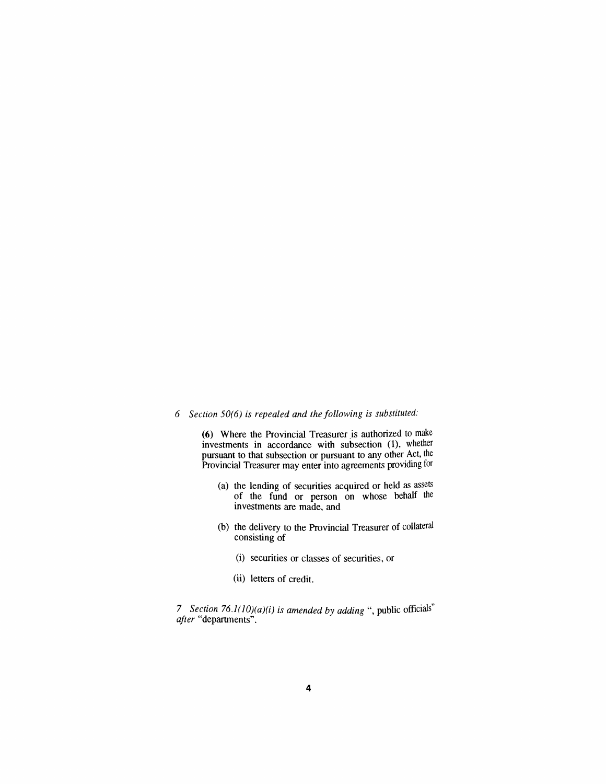### *6 Section 50(6) is repealed and the following is substituted:*

*(6) Where the Provincial Treasurer is authorized to make investments in accordance with subsection (1), whether pursuant to that subsection or pursuant to any other Act, the Provincial Treasurer may enter into agreements providing for*

- *(a) the lending of securities acquired or held as assets of the fund or person on whose behalf the investments are made, and*
- *(b) the delivery to the Provincial Treasurer of collateral consisting of*
	- *(i) securities or classes of securities, or*
	- *(ii) letters of credit.*

*7 Section 76.1(10)(a)(i) is amended by adding ", public officials after "departments".*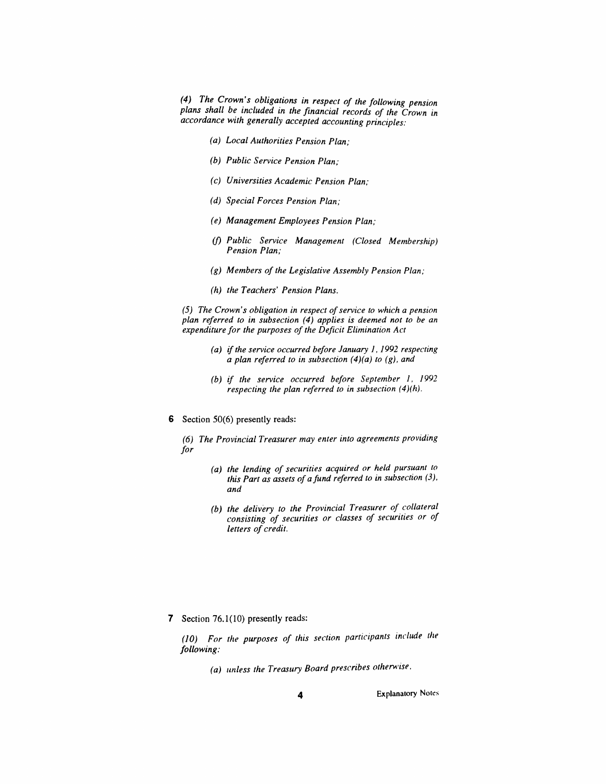*(4) The Crown's obligations in respect of the following pension plans shall be included in the financial records of the Crown in accordance with generally accepted accounting principles:*

- *(a) Local Authorities Pension Plan;*
- *(b) Public Service Pension Plan;*
- *(c) Universities Academic Pension Plan;*
- *(d) Special Forces Pension Plan;*
- *(e) Management Employees Pension Plan;*
- *(f) Public Service Management (Closed Membership) Pension Plan;*
- *(g) Members of the Legislative Assembly Pension Plan;*
- *(h) the Teachers' Pension Plans.*

*(5) The Crown's obligation in respect ofservice to which a pension plan referred to in subsection (4) applies is deemed not to be an expenditure for the purposes of the Deficit Elimination Act*

- *(a) ifthe service occurred before January 1, 1992 respecting a plan referred to in subsection (4)(a) to (g), and*
- *(b) if the service occurred before September 1, <sup>1992</sup> respecting the plan referred to in subsection (4)(h).*
- *6 Section 50(6) presently reads:*
	- *(6) The Provincial Treasurer may enter into agreements providing for*
		- *(a) the lending of securities acquired or held pursuant to this Part as assets of afund referred to in subsection (3), and*
		- *(b) the delivery to the Provincial Treasurer of collateral consisting of securities or classes of securities or of letters of credit.*

*7 Section 76.1(10) presently reads:*

*(10) For the purposes of this section participants include the following:*

*(a) unless the Treasury Board prescribes otherwise.*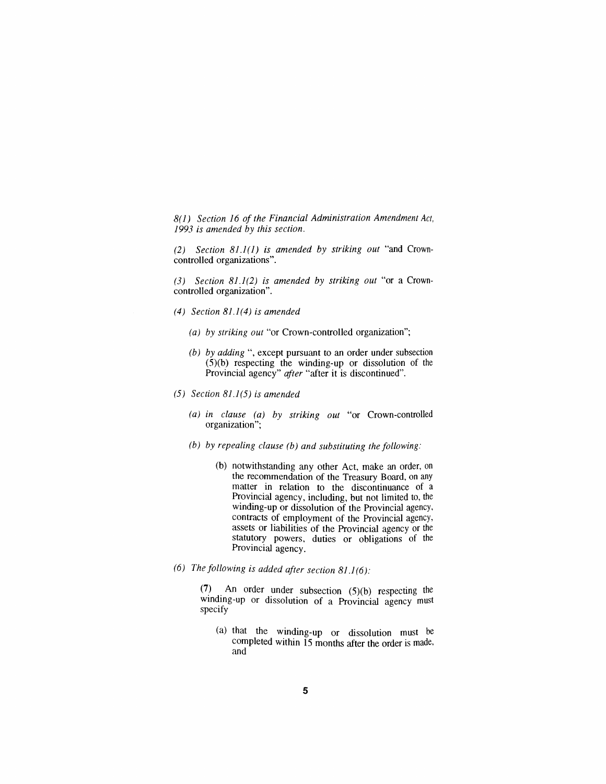*8(1) Section 16 of the Financial Administration Amendment Act, 1993 is amended by this section.*

*(2) Section 81.1(1) is amended by striking out "and Crowncontrolled organizations".*

*(3) Section 81.1(2) is amended by striking out "or a Crowncontrolled organization".*

- *(4) Section 81.1(4) is amended*
	- *(a) by striking out "or Crown-controlled organization";*
	- *(b) by adding "e,xcept pursuant to an order under subsection (5)(b) respecting the winding-up or dissolution of the Provincial agency" after "after it is discontinued".*
- *(5) Section 81.1(5) is amended*
	- *(a) in clause (a) by striking out "or Crown-controlled organization";*
	- *(b) by repealing clause (b) and substituting the following:*
		- *(b) notwithstanding any other Act, make an order, on the recommendation of the Treasury Board, on any matter in relation to the discontinuance of a Provincial agency, including, but not limited to, the winding-up or dissolution of the Provincial agency, contracts of employment of the Provincial agency, assets or liabilities of the Provincial agency or the statutory powers, duties or obligations of the Provincial agency.*
- *(6) The following is added after section 81.1(6):*

*(7) An order under subsection (5)(b) respecting the winding-up or dissolution of a Provincial agency must specify*

*(a) that the winding-up or dissolution must be completed within 15 months after the order is made, and*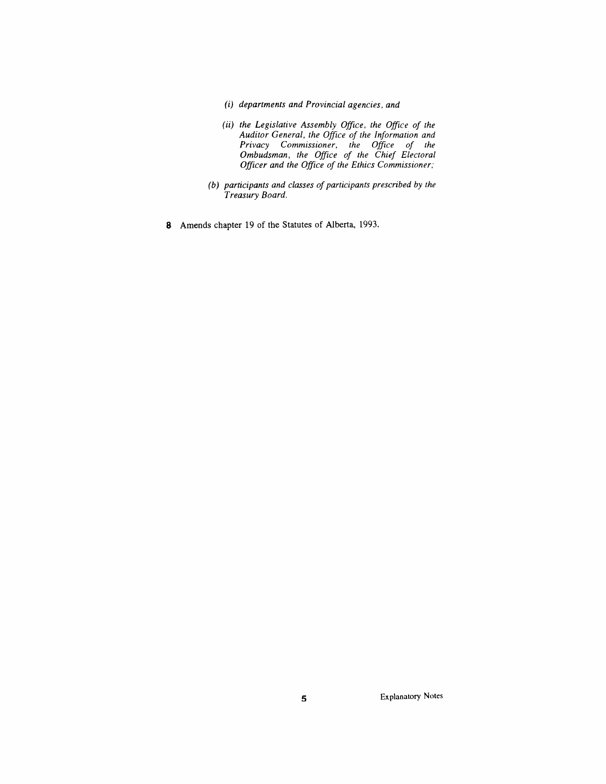- *(i) departments and Provincial agencies, and*
- *(ii) the Legislative Assembly Office, the Office of the Auditor General, the Office of the Information and Privacy Commissioner, the Office of the Ombudsman, the Office of the Chief Electoral Officer and the Office of the Ethics Commissioner;*
- *(b) participants and classes of participants prescribed by the Treasury Board.*
- *8 Amends chapter 19 of the Statutes of Alberta, 1993.*